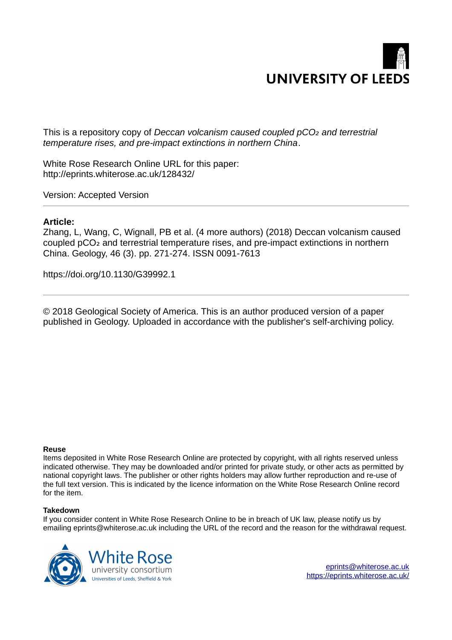

This is a repository copy of *Deccan volcanism caused coupled pCO<sub>2</sub> and terrestrial temperature rises, and pre-impact extinctions in northern China*.

White Rose Research Online URL for this paper: http://eprints.whiterose.ac.uk/128432/

Version: Accepted Version

## **Article:**

Zhang, L, Wang, C, Wignall, PB et al. (4 more authors) (2018) Deccan volcanism caused coupled pCO<sub>2</sub> and terrestrial temperature rises, and pre-impact extinctions in northern China. Geology, 46 (3). pp. 271-274. ISSN 0091-7613

https://doi.org/10.1130/G39992.1

© 2018 Geological Society of America. This is an author produced version of a paper published in Geology. Uploaded in accordance with the publisher's self-archiving policy.

### **Reuse**

Items deposited in White Rose Research Online are protected by copyright, with all rights reserved unless indicated otherwise. They may be downloaded and/or printed for private study, or other acts as permitted by national copyright laws. The publisher or other rights holders may allow further reproduction and re-use of the full text version. This is indicated by the licence information on the White Rose Research Online record for the item.

### **Takedown**

If you consider content in White Rose Research Online to be in breach of UK law, please notify us by emailing eprints@whiterose.ac.uk including the URL of the record and the reason for the withdrawal request.

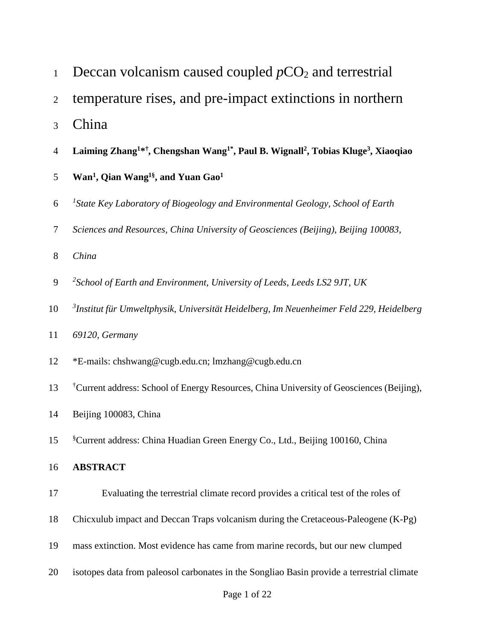| $\mathbf{1}$   | Deccan volcanism caused coupled $pCO2$ and terrestrial                                                                            |
|----------------|-----------------------------------------------------------------------------------------------------------------------------------|
| $\overline{2}$ | temperature rises, and pre-impact extinctions in northern                                                                         |
| 3              | China                                                                                                                             |
| $\overline{4}$ | Laiming Zhang <sup>1*†</sup> , Chengshan Wang <sup>1*</sup> , Paul B. Wignall <sup>2</sup> , Tobias Kluge <sup>3</sup> , Xiaoqiao |
| 5              | Wan <sup>1</sup> , Qian Wang <sup>1§</sup> , and Yuan Gao <sup>1</sup>                                                            |
| 6              | <sup>1</sup> State Key Laboratory of Biogeology and Environmental Geology, School of Earth                                        |
| 7              | Sciences and Resources, China University of Geosciences (Beijing), Beijing 100083,                                                |
| $8\,$          | China                                                                                                                             |
| 9              | <sup>2</sup> School of Earth and Environment, University of Leeds, Leeds LS2 9JT, UK                                              |
| 10             | <sup>3</sup> Institut für Umweltphysik, Universität Heidelberg, Im Neuenheimer Feld 229, Heidelberg                               |
| 11             | 69120, Germany                                                                                                                    |
| 12             | *E-mails: chshwang@cugb.edu.cn; lmzhang@cugb.edu.cn                                                                               |
| 13             | <sup>†</sup> Current address: School of Energy Resources, China University of Geosciences (Beijing),                              |
| 14             | Beijing 100083, China                                                                                                             |
| 15             | <sup>§</sup> Current address: China Huadian Green Energy Co., Ltd., Beijing 100160, China                                         |
| 16             | <b>ABSTRACT</b>                                                                                                                   |
| 17             | Evaluating the terrestrial climate record provides a critical test of the roles of                                                |
| 18             | Chicxulub impact and Deccan Traps volcanism during the Cretaceous-Paleogene (K-Pg)                                                |
| 19             | mass extinction. Most evidence has came from marine records, but our new clumped                                                  |
| 20             | isotopes data from paleosol carbonates in the Songliao Basin provide a terrestrial climate                                        |
|                |                                                                                                                                   |

# Page 1 of 22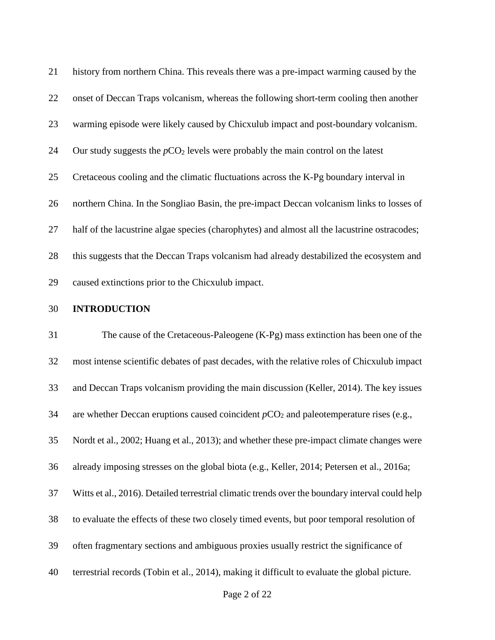| 21 | history from northern China. This reveals there was a pre-impact warming caused by the       |
|----|----------------------------------------------------------------------------------------------|
| 22 | onset of Deccan Traps volcanism, whereas the following short-term cooling then another       |
| 23 | warming episode were likely caused by Chicxulub impact and post-boundary volcanism.          |
| 24 | Our study suggests the $pCO2$ levels were probably the main control on the latest            |
| 25 | Cretaceous cooling and the climatic fluctuations across the K-Pg boundary interval in        |
| 26 | northern China. In the Songliao Basin, the pre-impact Deccan volcanism links to losses of    |
| 27 | half of the lacustrine algae species (charophytes) and almost all the lacustrine ostracodes; |
| 28 | this suggests that the Deccan Traps volcanism had already destabilized the ecosystem and     |
| 29 | caused extinctions prior to the Chicxulub impact.                                            |

### 30 **INTRODUCTION**

31 The cause of the Cretaceous-Paleogene (K-Pg) mass extinction has been one of the 32 most intense scientific debates of past decades, with the relative roles of Chicxulub impact 33 and Deccan Traps volcanism providing the main discussion (Keller, 2014). The key issues 34 are whether Deccan eruptions caused coincident  $pCO_2$  and paleotemperature rises (e.g., 35 Nordt et al., 2002; Huang et al., 2013); and whether these pre-impact climate changes were 36 already imposing stresses on the global biota (e.g., Keller, 2014; Petersen et al., 2016a; 37 Witts et al., 2016). Detailed terrestrial climatic trends over the boundary interval could help 38 to evaluate the effects of these two closely timed events, but poor temporal resolution of 39 often fragmentary sections and ambiguous proxies usually restrict the significance of 40 terrestrial records (Tobin et al., 2014), making it difficult to evaluate the global picture.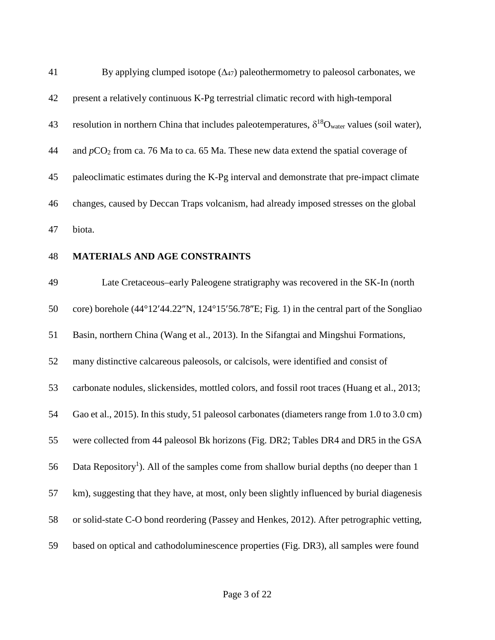| 41 | By applying clumped isotope $(\Delta_{47})$ paleothermometry to paleosol carbonates, we                          |
|----|------------------------------------------------------------------------------------------------------------------|
| 42 | present a relatively continuous K-Pg terrestrial climatic record with high-temporal                              |
| 43 | resolution in northern China that includes paleotemperatures, $\delta^{18}O_{\text{water}}$ values (soil water), |
| 44 | and $pCO2$ from ca. 76 Ma to ca. 65 Ma. These new data extend the spatial coverage of                            |
| 45 | paleoclimatic estimates during the K-Pg interval and demonstrate that pre-impact climate                         |
| 46 | changes, caused by Deccan Traps volcanism, had already imposed stresses on the global                            |
| 47 | biota.                                                                                                           |
| 48 | <b>MATERIALS AND AGE CONSTRAINTS</b>                                                                             |
| 49 | Late Cretaceous-early Paleogene stratigraphy was recovered in the SK-In (north                                   |
| 50 | core) borehole $(44^{\circ}12'44.22''N, 124^{\circ}15'56.78''E; Fig. 1)$ in the central part of the Songliao     |
| 51 | Basin, northern China (Wang et al., 2013). In the Sifangtai and Mingshui Formations,                             |
| 52 | many distinctive calcareous paleosols, or calcisols, were identified and consist of                              |
| 53 | carbonate nodules, slickensides, mottled colors, and fossil root traces (Huang et al., 2013;                     |
| 54 | Gao et al., 2015). In this study, 51 paleosol carbonates (diameters range from 1.0 to 3.0 cm)                    |
| 55 | were collected from 44 paleosol Bk horizons (Fig. DR2; Tables DR4 and DR5 in the GSA                             |
| 56 | Data Repository <sup>1</sup> ). All of the samples come from shallow burial depths (no deeper than 1             |
| 57 | km), suggesting that they have, at most, only been slightly influenced by burial diagenesis                      |
| 58 | or solid-state C-O bond reordering (Passey and Henkes, 2012). After petrographic vetting,                        |
| 59 | based on optical and cathodoluminescence properties (Fig. DR3), all samples were found                           |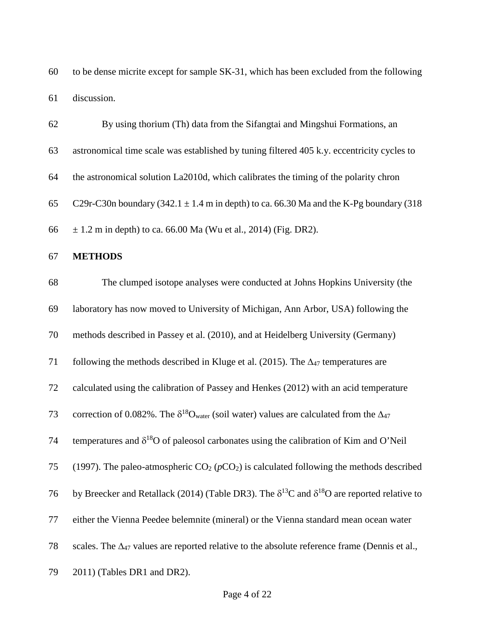60 to be dense micrite except for sample SK-31, which has been excluded from the following 61 discussion.

| 62 | By using thorium (Th) data from the Sifangtai and Mingshui Formations, an                                      |
|----|----------------------------------------------------------------------------------------------------------------|
| 63 | astronomical time scale was established by tuning filtered 405 k.y. eccentricity cycles to                     |
| 64 | the astronomical solution La2010d, which calibrates the timing of the polarity chron                           |
| 65 | C29r-C30n boundary (342.1 $\pm$ 1.4 m in depth) to ca. 66.30 Ma and the K-Pg boundary (318                     |
| 66 | $\pm$ 1.2 m in depth) to ca. 66.00 Ma (Wu et al., 2014) (Fig. DR2).                                            |
| 67 | <b>METHODS</b>                                                                                                 |
| 68 | The clumped isotope analyses were conducted at Johns Hopkins University (the                                   |
| 69 | laboratory has now moved to University of Michigan, Ann Arbor, USA) following the                              |
| 70 | methods described in Passey et al. (2010), and at Heidelberg University (Germany)                              |
| 71 | following the methods described in Kluge et al. (2015). The $\Delta_{47}$ temperatures are                     |
| 72 | calculated using the calibration of Passey and Henkes (2012) with an acid temperature                          |
| 73 | correction of 0.082%. The $\delta^{18}O_{water}$ (soil water) values are calculated from the $\Delta_{47}$     |
| 74 | temperatures and $\delta^{18}O$ of paleosol carbonates using the calibration of Kim and O'Neil                 |
| 75 | (1997). The paleo-atmospheric $CO_2(pCO_2)$ is calculated following the methods described                      |
| 76 | by Breecker and Retallack (2014) (Table DR3). The $\delta^{13}$ C and $\delta^{18}$ O are reported relative to |
| 77 | either the Vienna Peedee belemnite (mineral) or the Vienna standard mean ocean water                           |
| 78 | scales. The $\Delta_{47}$ values are reported relative to the absolute reference frame (Dennis et al.,         |
| 79 | 2011) (Tables DR1 and DR2).                                                                                    |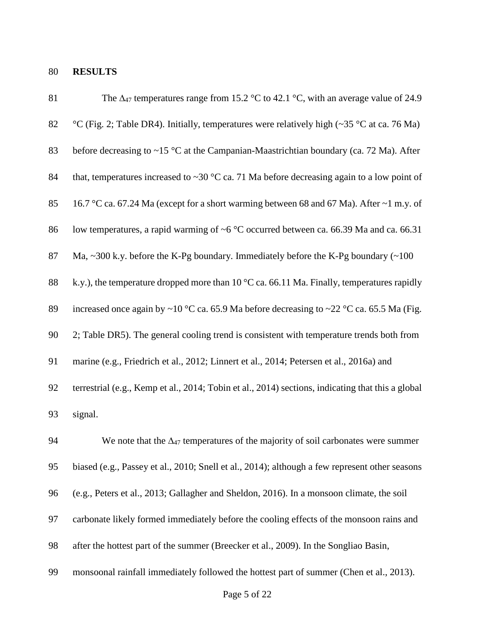## 80 **RESULTS**

| 81 | The $\Delta_{47}$ temperatures range from 15.2 °C to 42.1 °C, with an average value of 24.9                 |
|----|-------------------------------------------------------------------------------------------------------------|
| 82 | °C (Fig. 2; Table DR4). Initially, temperatures were relatively high ( $\sim$ 35 °C at ca. 76 Ma)           |
| 83 | before decreasing to $\sim$ 15 °C at the Campanian-Maastrichtian boundary (ca. 72 Ma). After                |
| 84 | that, temperatures increased to ~30 °C ca. 71 Ma before decreasing again to a low point of                  |
| 85 | 16.7 °C ca. 67.24 Ma (except for a short warming between 68 and 67 Ma). After ~1 m.y. of                    |
| 86 | low temperatures, a rapid warming of $\sim$ 6 °C occurred between ca. 66.39 Ma and ca. 66.31                |
| 87 | Ma, $\sim$ 300 k.y. before the K-Pg boundary. Immediately before the K-Pg boundary ( $\sim$ 100             |
| 88 | k.y.), the temperature dropped more than $10\,^{\circ}\text{C}$ ca. 66.11 Ma. Finally, temperatures rapidly |
| 89 | increased once again by ~10 °C ca. 65.9 Ma before decreasing to ~22 °C ca. 65.5 Ma (Fig.                    |
| 90 | 2; Table DR5). The general cooling trend is consistent with temperature trends both from                    |
| 91 | marine (e.g., Friedrich et al., 2012; Linnert et al., 2014; Petersen et al., 2016a) and                     |
| 92 | terrestrial (e.g., Kemp et al., 2014; Tobin et al., 2014) sections, indicating that this a global           |
| 93 | signal.                                                                                                     |
| 94 | We note that the $\Delta_{47}$ temperatures of the majority of soil carbonates were summer                  |
| 95 | biased (e.g., Passey et al., 2010; Snell et al., 2014); although a few represent other seasons              |
| 96 | (e.g., Peters et al., 2013; Gallagher and Sheldon, 2016). In a monsoon climate, the soil                    |
| 97 | carbonate likely formed immediately before the cooling effects of the monsoon rains and                     |
| 98 | after the hottest part of the summer (Breecker et al., 2009). In the Songliao Basin,                        |
| 99 | monsoonal rainfall immediately followed the hottest part of summer (Chen et al., 2013).                     |
|    |                                                                                                             |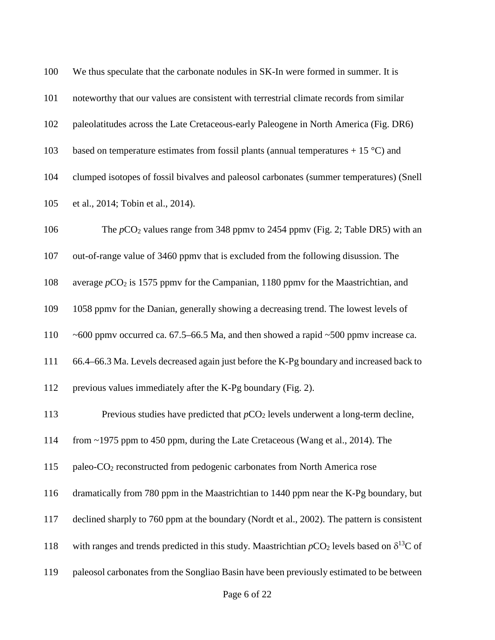| 100 | We thus speculate that the carbonate nodules in SK-In were formed in summer. It is                      |
|-----|---------------------------------------------------------------------------------------------------------|
| 101 | noteworthy that our values are consistent with terrestrial climate records from similar                 |
| 102 | paleolatitudes across the Late Cretaceous-early Paleogene in North America (Fig. DR6)                   |
| 103 | based on temperature estimates from fossil plants (annual temperatures $+ 15 \degree C$ ) and           |
| 104 | clumped isotopes of fossil bivalves and paleosol carbonates (summer temperatures) (Snell                |
| 105 | et al., 2014; Tobin et al., 2014).                                                                      |
| 106 | The $pCO_2$ values range from 348 ppmv to 2454 ppmv (Fig. 2; Table DR5) with an                         |
| 107 | out-of-range value of 3460 ppmv that is excluded from the following disussion. The                      |
| 108 | average $pCO_2$ is 1575 ppmv for the Campanian, 1180 ppmv for the Maastrichtian, and                    |
| 109 | 1058 ppmv for the Danian, generally showing a decreasing trend. The lowest levels of                    |
| 110 | $\sim$ 600 ppmv occurred ca. 67.5–66.5 Ma, and then showed a rapid $\sim$ 500 ppmv increase ca.         |
| 111 | 66.4-66.3 Ma. Levels decreased again just before the K-Pg boundary and increased back to                |
| 112 | previous values immediately after the K-Pg boundary (Fig. 2).                                           |
| 113 | Previous studies have predicted that $pCO2$ levels underwent a long-term decline,                       |
| 114 | from ~1975 ppm to 450 ppm, during the Late Cretaceous (Wang et al., 2014). The                          |
| 115 | paleo-CO <sub>2</sub> reconstructed from pedogenic carbonates from North America rose                   |
| 116 | dramatically from 780 ppm in the Maastrichtian to 1440 ppm near the K-Pg boundary, but                  |
| 117 | declined sharply to 760 ppm at the boundary (Nordt et al., 2002). The pattern is consistent             |
| 118 | with ranges and trends predicted in this study. Maastrichtian $pCO_2$ levels based on $\delta^{13}C$ of |
| 119 | paleosol carbonates from the Songliao Basin have been previously estimated to be between                |
|     |                                                                                                         |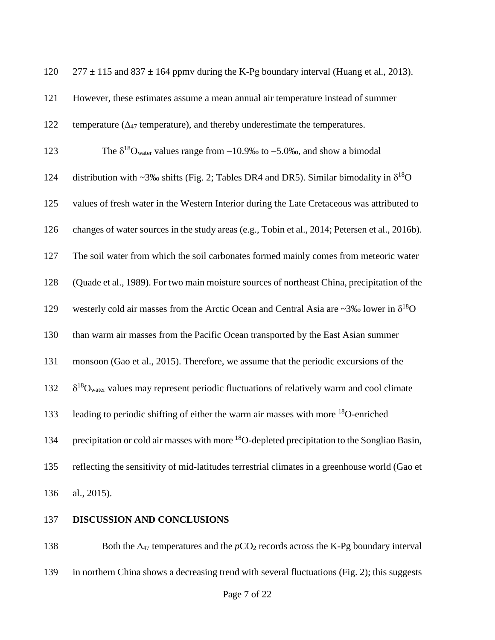| 120 | $277 \pm 115$ and 837 $\pm$ 164 ppmv during the K-Pg boundary interval (Huang et al., 2013).                 |
|-----|--------------------------------------------------------------------------------------------------------------|
| 121 | However, these estimates assume a mean annual air temperature instead of summer                              |
| 122 | temperature ( $\Delta_{47}$ temperature), and thereby underestimate the temperatures.                        |
| 123 | The $\delta^{18}O_{\text{water}}$ values range from $-10.9\%$ to $-5.0\%$ , and show a bimodal               |
| 124 | distribution with ~3‰ shifts (Fig. 2; Tables DR4 and DR5). Similar bimodality in $\delta^{18}O$              |
| 125 | values of fresh water in the Western Interior during the Late Cretaceous was attributed to                   |
| 126 | changes of water sources in the study areas (e.g., Tobin et al., 2014; Petersen et al., 2016b).              |
| 127 | The soil water from which the soil carbonates formed mainly comes from meteoric water                        |
| 128 | (Quade et al., 1989). For two main moisture sources of northeast China, precipitation of the                 |
| 129 | westerly cold air masses from the Arctic Ocean and Central Asia are ~3‰ lower in $\delta^{18}O$              |
| 130 | than warm air masses from the Pacific Ocean transported by the East Asian summer                             |
| 131 | monsoon (Gao et al., 2015). Therefore, we assume that the periodic excursions of the                         |
| 132 | $\delta^{18}O_{\text{water}}$ values may represent periodic fluctuations of relatively warm and cool climate |
| 133 | leading to periodic shifting of either the warm air masses with more <sup>18</sup> O-enriched                |
| 134 | precipitation or cold air masses with more <sup>18</sup> O-depleted precipitation to the Songliao Basin,     |
| 135 | reflecting the sensitivity of mid-latitudes terrestrial climates in a greenhouse world (Gao et               |
| 136 | al., 2015).                                                                                                  |

137 **DISCUSSION AND CONCLUSIONS**

138 Both the Δ<sub>47</sub> temperatures and the *p*CO<sub>2</sub> records across the K-Pg boundary interval 139 in northern China shows a decreasing trend with several fluctuations (Fig. 2); this suggests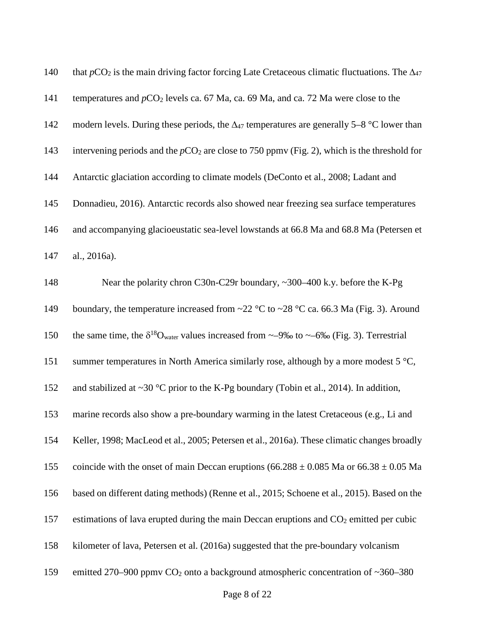| 140 | that $pCO_2$ is the main driving factor forcing Late Cretaceous climatic fluctuations. The $\Delta_{47}$              |
|-----|-----------------------------------------------------------------------------------------------------------------------|
| 141 | temperatures and $pCO_2$ levels ca. 67 Ma, ca. 69 Ma, and ca. 72 Ma were close to the                                 |
| 142 | modern levels. During these periods, the $\Delta_{47}$ temperatures are generally 5–8 °C lower than                   |
| 143 | intervening periods and the $pCO_2$ are close to 750 ppmv (Fig. 2), which is the threshold for                        |
| 144 | Antarctic glaciation according to climate models (DeConto et al., 2008; Ladant and                                    |
| 145 | Donnadieu, 2016). Antarctic records also showed near freezing sea surface temperatures                                |
| 146 | and accompanying glacioeustatic sea-level lowstands at 66.8 Ma and 68.8 Ma (Petersen et                               |
| 147 | al., 2016a).                                                                                                          |
| 148 | Near the polarity chron C30n-C29r boundary, $\sim$ 300–400 k.y. before the K-Pg                                       |
| 149 | boundary, the temperature increased from $\sim$ 22 °C to $\sim$ 28 °C ca. 66.3 Ma (Fig. 3). Around                    |
| 150 | the same time, the $\delta^{18}O_{\text{water}}$ values increased from $\sim$ -9‰ to $\sim$ -6‰ (Fig. 3). Terrestrial |
| 151 | summer temperatures in North America similarly rose, although by a more modest 5 °C,                                  |
| 152 | and stabilized at $\sim$ 30 °C prior to the K-Pg boundary (Tobin et al., 2014). In addition,                          |
| 153 | marine records also show a pre-boundary warming in the latest Cretaceous (e.g., Li and                                |
| 154 | Keller, 1998; MacLeod et al., 2005; Petersen et al., 2016a). These climatic changes broadly                           |
| 155 | coincide with the onset of main Deccan eruptions (66.288 $\pm$ 0.085 Ma or 66.38 $\pm$ 0.05 Ma                        |
| 156 | based on different dating methods) (Renne et al., 2015; Schoene et al., 2015). Based on the                           |
| 157 | estimations of lava erupted during the main Deccan eruptions and $CO2$ emitted per cubic                              |
| 158 | kilometer of lava, Petersen et al. (2016a) suggested that the pre-boundary volcanism                                  |
| 159 | emitted 270–900 ppmv $CO2$ onto a background atmospheric concentration of ~360–380                                    |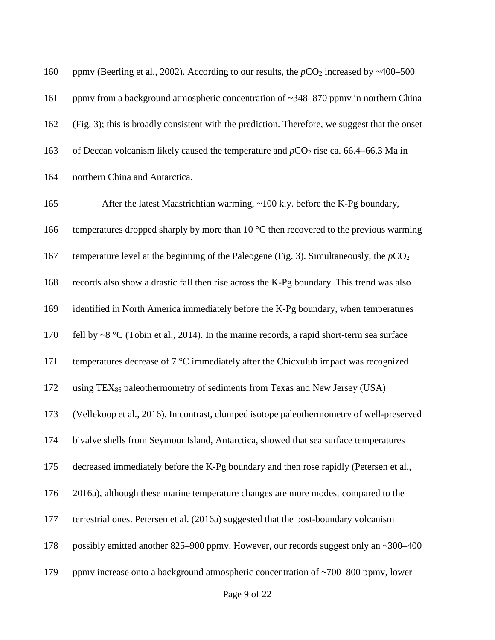160 ppmv (Beerling et al., 2002). According to our results, the  $pCO_2$  increased by  $\sim$ 400–500 161 ppmy from a background atmospheric concentration of ~348–870 ppmy in northern China 162 (Fig. 3); this is broadly consistent with the prediction. Therefore, we suggest that the onset 163 of Deccan volcanism likely caused the temperature and  $pCO_2$  rise ca. 66.4–66.3 Ma in 164 northern China and Antarctica. 165 After the latest Maastrichtian warming, ~100 k.y. before the K-Pg boundary, 166 temperatures dropped sharply by more than  $10^{\circ}$ C then recovered to the previous warming 167 temperature level at the beginning of the Paleogene (Fig. 3). Simultaneously, the  $pCO<sub>2</sub>$ 168 records also show a drastic fall then rise across the K-Pg boundary. This trend was also 169 identified in North America immediately before the K-Pg boundary, when temperatures 170 fell by ~8 °C (Tobin et al., 2014). In the marine records, a rapid short-term sea surface 171 temperatures decrease of 7 °C immediately after the Chicxulub impact was recognized 172 using TEX<sup>86</sup> paleothermometry of sediments from Texas and New Jersey (USA) 173 (Vellekoop et al., 2016). In contrast, clumped isotope paleothermometry of well-preserved 174 bivalve shells from Seymour Island, Antarctica, showed that sea surface temperatures 175 decreased immediately before the K-Pg boundary and then rose rapidly (Petersen et al., 176 2016a), although these marine temperature changes are more modest compared to the 177 terrestrial ones. Petersen et al. (2016a) suggested that the post-boundary volcanism 178 possibly emitted another 825–900 ppmv. However, our records suggest only an ~300–400 179 ppm increase onto a background atmospheric concentration of ~700–800 ppm v, lower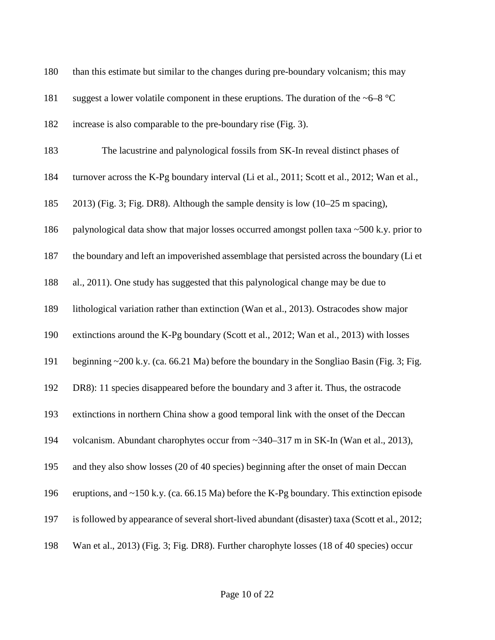| 180 | than this estimate but similar to the changes during pre-boundary volcanism; this may           |
|-----|-------------------------------------------------------------------------------------------------|
| 181 | suggest a lower volatile component in these eruptions. The duration of the $\sim 6-8$ °C        |
| 182 | increase is also comparable to the pre-boundary rise (Fig. 3).                                  |
| 183 | The lacustrine and palynological fossils from SK-In reveal distinct phases of                   |
| 184 | turnover across the K-Pg boundary interval (Li et al., 2011; Scott et al., 2012; Wan et al.,    |
| 185 | 2013) (Fig. 3; Fig. DR8). Although the sample density is low (10–25 m spacing),                 |
| 186 | palynological data show that major losses occurred amongst pollen taxa $\sim$ 500 k.y. prior to |
| 187 | the boundary and left an impoverished assemblage that persisted across the boundary (Li et      |
| 188 | al., 2011). One study has suggested that this palynological change may be due to                |
| 189 | lithological variation rather than extinction (Wan et al., 2013). Ostracodes show major         |
| 190 | extinctions around the K-Pg boundary (Scott et al., 2012; Wan et al., 2013) with losses         |
| 191 | beginning ~200 k.y. (ca. 66.21 Ma) before the boundary in the Songliao Basin (Fig. 3; Fig.      |
| 192 | DR8): 11 species disappeared before the boundary and 3 after it. Thus, the ostracode            |
| 193 | extinctions in northern China show a good temporal link with the onset of the Deccan            |
| 194 | volcanism. Abundant charophytes occur from ~340–317 m in SK-In (Wan et al., 2013),              |
| 195 | and they also show losses (20 of 40 species) beginning after the onset of main Deccan           |
| 196 | eruptions, and $\sim$ 150 k.y. (ca. 66.15 Ma) before the K-Pg boundary. This extinction episode |
| 197 | is followed by appearance of several short-lived abundant (disaster) taxa (Scott et al., 2012;  |
| 198 | Wan et al., 2013) (Fig. 3; Fig. DR8). Further charophyte losses (18 of 40 species) occur        |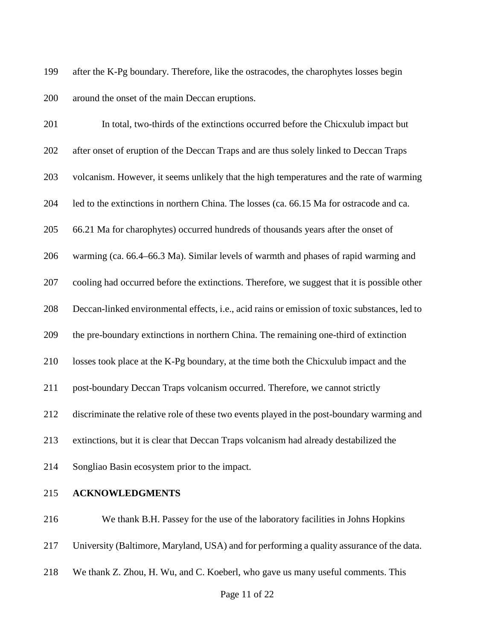199 after the K-Pg boundary. Therefore, like the ostracodes, the charophytes losses begin 200 around the onset of the main Deccan eruptions.

| 201 | In total, two-thirds of the extinctions occurred before the Chicxulub impact but              |
|-----|-----------------------------------------------------------------------------------------------|
| 202 | after onset of eruption of the Deccan Traps and are thus solely linked to Deccan Traps        |
| 203 | volcanism. However, it seems unlikely that the high temperatures and the rate of warming      |
| 204 | led to the extinctions in northern China. The losses (ca. 66.15 Ma for ostracode and ca.      |
| 205 | 66.21 Ma for charophytes) occurred hundreds of thousands years after the onset of             |
| 206 | warming (ca. 66.4–66.3 Ma). Similar levels of warmth and phases of rapid warming and          |
| 207 | cooling had occurred before the extinctions. Therefore, we suggest that it is possible other  |
| 208 | Deccan-linked environmental effects, i.e., acid rains or emission of toxic substances, led to |
| 209 | the pre-boundary extinctions in northern China. The remaining one-third of extinction         |
| 210 | losses took place at the K-Pg boundary, at the time both the Chicxulub impact and the         |
| 211 | post-boundary Deccan Traps volcanism occurred. Therefore, we cannot strictly                  |
| 212 | discriminate the relative role of these two events played in the post-boundary warming and    |
| 213 | extinctions, but it is clear that Deccan Traps volcanism had already destabilized the         |
| 214 | Songliao Basin ecosystem prior to the impact.                                                 |
|     |                                                                                               |

215 **ACKNOWLEDGMENTS**

216 We thank B.H. Passey for the use of the laboratory facilities in Johns Hopkins

217 University (Baltimore, Maryland, USA) and for performing a quality assurance of the data.

218 We thank Z. Zhou, H. Wu, and C. Koeberl, who gave us many useful comments. This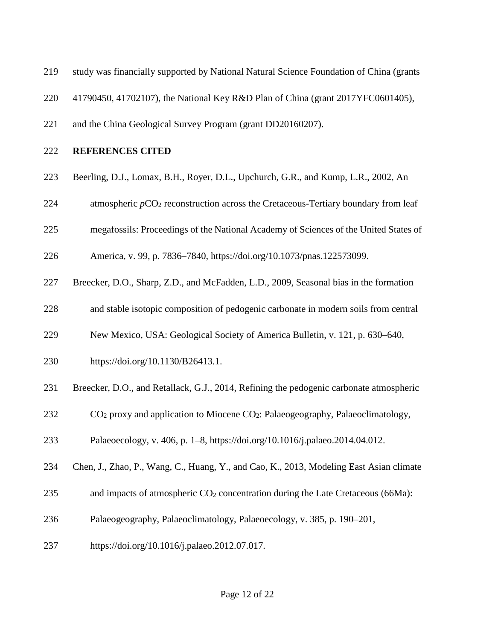- 219 study was financially supported by National Natural Science Foundation of China (grants
- 220 41790450, 41702107), the National Key R&D Plan of China (grant 2017YFC0601405),
- 221 and the China Geological Survey Program (grant DD20160207).
- 222 **REFERENCES CITED**
- 223 Beerling, D.J., Lomax, B.H., Royer, D.L., Upchurch, G.R., and Kump, L.R., 2002, An
- 224 atmospheric  $pCO_2$  reconstruction across the Cretaceous-Tertiary boundary from leaf
- 225 megafossils: Proceedings of the National Academy of Sciences of the United States of
- 226 America, v. 99, p. 7836–7840, https://doi.org/10.1073/pnas.122573099.
- 227 Breecker, D.O., Sharp, Z.D., and McFadden, L.D., 2009, Seasonal bias in the formation
- 228 and stable isotopic composition of pedogenic carbonate in modern soils from central
- 229 New Mexico, USA: Geological Society of America Bulletin, v. 121, p. 630–640,
- 230 https://doi.org/10.1130/B26413.1.
- 231 Breecker, D.O., and Retallack, G.J., 2014, Refining the pedogenic carbonate atmospheric
- $232$  CO<sub>2</sub> proxy and application to Miocene CO<sub>2</sub>: Palaeogeography, Palaeoclimatology,
- 233 Palaeoecology, v. 406, p. 1–8, https://doi.org/10.1016/j.palaeo.2014.04.012.
- 234 Chen, J., Zhao, P., Wang, C., Huang, Y., and Cao, K., 2013, Modeling East Asian climate
- 235 and impacts of atmospheric  $CO<sub>2</sub>$  concentration during the Late Cretaceous (66Ma):
- 236 Palaeogeography, Palaeoclimatology, Palaeoecology, v. 385, p. 190–201,
- 237 https://doi.org/10.1016/j.palaeo.2012.07.017.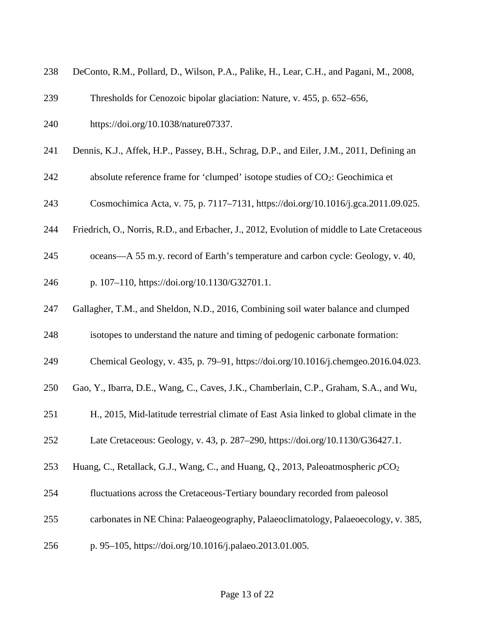| 238 | DeConto, R.M., Pollard, D., Wilson, P.A., Palike, H., Lear, C.H., and Pagani, M., 2008,     |
|-----|---------------------------------------------------------------------------------------------|
| 239 | Thresholds for Cenozoic bipolar glaciation: Nature, v. 455, p. 652–656,                     |
| 240 | https://doi.org/10.1038/nature07337.                                                        |
| 241 | Dennis, K.J., Affek, H.P., Passey, B.H., Schrag, D.P., and Eiler, J.M., 2011, Defining an   |
| 242 | absolute reference frame for 'clumped' isotope studies of $CO2$ : Geochimica et             |
| 243 | Cosmochimica Acta, v. 75, p. 7117-7131, https://doi.org/10.1016/j.gca.2011.09.025.          |
| 244 | Friedrich, O., Norris, R.D., and Erbacher, J., 2012, Evolution of middle to Late Cretaceous |
| 245 | oceans—A 55 m.y. record of Earth's temperature and carbon cycle: Geology, v. 40,            |
| 246 | p. 107-110, https://doi.org/10.1130/G32701.1.                                               |
| 247 | Gallagher, T.M., and Sheldon, N.D., 2016, Combining soil water balance and clumped          |
| 248 | isotopes to understand the nature and timing of pedogenic carbonate formation:              |
| 249 | Chemical Geology, v. 435, p. 79-91, https://doi.org/10.1016/j.chemgeo.2016.04.023.          |
| 250 | Gao, Y., Ibarra, D.E., Wang, C., Caves, J.K., Chamberlain, C.P., Graham, S.A., and Wu,      |
| 251 | H., 2015, Mid-latitude terrestrial climate of East Asia linked to global climate in the     |
| 252 | Late Cretaceous: Geology, v. 43, p. 287–290, https://doi.org/10.1130/G36427.1.              |
| 253 | Huang, C., Retallack, G.J., Wang, C., and Huang, Q., 2013, Paleoatmospheric $pCO_2$         |
| 254 | fluctuations across the Cretaceous-Tertiary boundary recorded from paleosol                 |
| 255 | carbonates in NE China: Palaeogeography, Palaeoclimatology, Palaeoecology, v. 385,          |
| 256 | p. 95-105, https://doi.org/10.1016/j.palaeo.2013.01.005.                                    |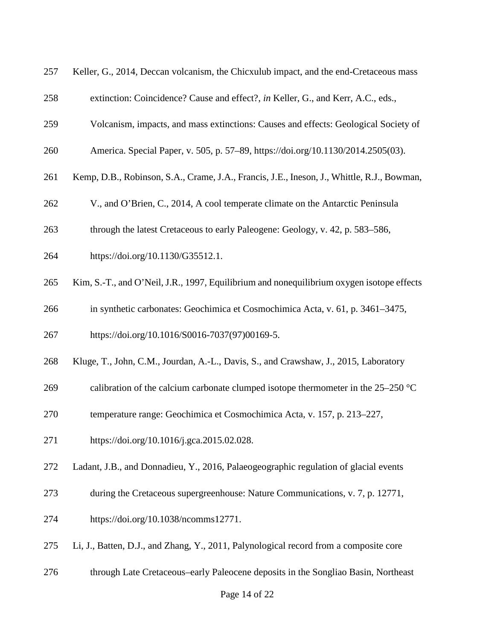| 257 | Keller, G., 2014, Deccan volcanism, the Chicxulub impact, and the end-Cretaceous mass      |
|-----|--------------------------------------------------------------------------------------------|
| 258 | extinction: Coincidence? Cause and effect?, in Keller, G., and Kerr, A.C., eds.,           |
| 259 | Volcanism, impacts, and mass extinctions: Causes and effects: Geological Society of        |
| 260 | America. Special Paper, v. 505, p. 57–89, https://doi.org/10.1130/2014.2505(03).           |
| 261 | Kemp, D.B., Robinson, S.A., Crame, J.A., Francis, J.E., Ineson, J., Whittle, R.J., Bowman, |
| 262 | V., and O'Brien, C., 2014, A cool temperate climate on the Antarctic Peninsula             |
| 263 | through the latest Cretaceous to early Paleogene: Geology, v. 42, p. 583–586,              |
| 264 | https://doi.org/10.1130/G35512.1.                                                          |
| 265 | Kim, S.-T., and O'Neil, J.R., 1997, Equilibrium and nonequilibrium oxygen isotope effects  |
| 266 | in synthetic carbonates: Geochimica et Cosmochimica Acta, v. 61, p. 3461-3475,             |
| 267 | https://doi.org/10.1016/S0016-7037(97)00169-5.                                             |
| 268 | Kluge, T., John, C.M., Jourdan, A.-L., Davis, S., and Crawshaw, J., 2015, Laboratory       |
| 269 | calibration of the calcium carbonate clumped isotope thermometer in the $25-250$ °C        |
| 270 | temperature range: Geochimica et Cosmochimica Acta, v. 157, p. 213–227,                    |
| 271 | https://doi.org/10.1016/j.gca.2015.02.028.                                                 |
| 272 | Ladant, J.B., and Donnadieu, Y., 2016, Palaeogeographic regulation of glacial events       |
| 273 | during the Cretaceous supergreenhouse: Nature Communications, v. 7, p. 12771,              |
| 274 | https://doi.org/10.1038/ncomms12771.                                                       |
| 275 | Li, J., Batten, D.J., and Zhang, Y., 2011, Palynological record from a composite core      |
| 276 | through Late Cretaceous-early Paleocene deposits in the Songliao Basin, Northeast          |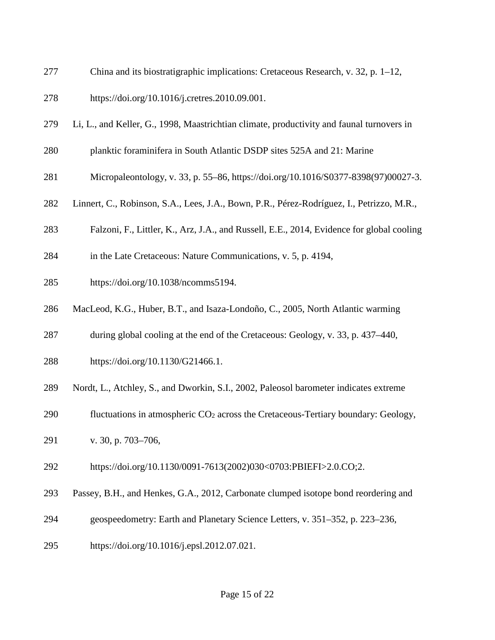- 277 China and its biostratigraphic implications: Cretaceous Research, v. 32, p. 1–12,
- 278 https://doi.org/10.1016/j.cretres.2010.09.001.
- 279 Li, L., and Keller, G., 1998, Maastrichtian climate, productivity and faunal turnovers in
- 280 planktic foraminifera in South Atlantic DSDP sites 525A and 21: Marine
- 281 Micropaleontology, v. 33, p. 55–86, https://doi.org/10.1016/S0377-8398(97)00027-3.
- 282 Linnert, C., Robinson, S.A., Lees, J.A., Bown, P.R., Pérez-Rodríguez, I., Petrizzo, M.R.,
- 283 Falzoni, F., Littler, K., Arz, J.A., and Russell, E.E., 2014, Evidence for global cooling
- 284 in the Late Cretaceous: Nature Communications, v. 5, p. 4194,
- 285 https://doi.org/10.1038/ncomms5194.
- 286 MacLeod, K.G., Huber, B.T., and Isaza-Londoño, C., 2005, North Atlantic warming
- 287 during global cooling at the end of the Cretaceous: Geology, v. 33, p. 437–440,
- 288 https://doi.org/10.1130/G21466.1.
- 289 Nordt, L., Atchley, S., and Dworkin, S.I., 2002, Paleosol barometer indicates extreme
- 290 fluctuations in atmospheric  $CO<sub>2</sub>$  across the Cretaceous-Tertiary boundary: Geology,
- 291 v. 30, p. 703–706,
- 292 https://doi.org/10.1130/0091-7613(2002)030<0703:PBIEFI>2.0.CO;2.
- 293 Passey, B.H., and Henkes, G.A., 2012, Carbonate clumped isotope bond reordering and
- 294 geospeedometry: Earth and Planetary Science Letters, v. 351–352, p. 223–236,
- 295 https://doi.org/10.1016/j.epsl.2012.07.021.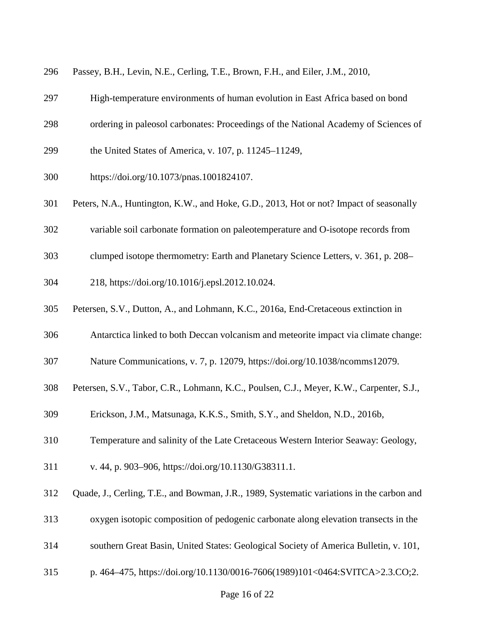| 296<br>Passey, B.H., Levin, N.E., Cerling, T.E., Brown, F.H., and Eiler, J.M., 2010, |  |
|--------------------------------------------------------------------------------------|--|
|--------------------------------------------------------------------------------------|--|

- 297 High-temperature environments of human evolution in East Africa based on bond
- 298 ordering in paleosol carbonates: Proceedings of the National Academy of Sciences of
- 299 the United States of America, v. 107, p. 11245–11249,
- 300 https://doi.org/10.1073/pnas.1001824107.
- 301 Peters, N.A., Huntington, K.W., and Hoke, G.D., 2013, Hot or not? Impact of seasonally
- 302 variable soil carbonate formation on paleotemperature and O-isotope records from
- 303 clumped isotope thermometry: Earth and Planetary Science Letters, v. 361, p. 208–
- 304 218, https://doi.org/10.1016/j.epsl.2012.10.024.
- 305 Petersen, S.V., Dutton, A., and Lohmann, K.C., 2016a, End-Cretaceous extinction in
- 306 Antarctica linked to both Deccan volcanism and meteorite impact via climate change:
- 307 Nature Communications, v. 7, p. 12079, https://doi.org/10.1038/ncomms12079.
- 308 Petersen, S.V., Tabor, C.R., Lohmann, K.C., Poulsen, C.J., Meyer, K.W., Carpenter, S.J.,
- 309 Erickson, J.M., Matsunaga, K.K.S., Smith, S.Y., and Sheldon, N.D., 2016b,
- 310 Temperature and salinity of the Late Cretaceous Western Interior Seaway: Geology,
- 311 v. 44, p. 903–906, https://doi.org/10.1130/G38311.1.
- 312 Quade, J., Cerling, T.E., and Bowman, J.R., 1989, Systematic variations in the carbon and
- 313 oxygen isotopic composition of pedogenic carbonate along elevation transects in the
- 314 southern Great Basin, United States: Geological Society of America Bulletin, v. 101,
- 315 p. 464–475, https://doi.org/10.1130/0016-7606(1989)101<0464:SVITCA>2.3.CO;2.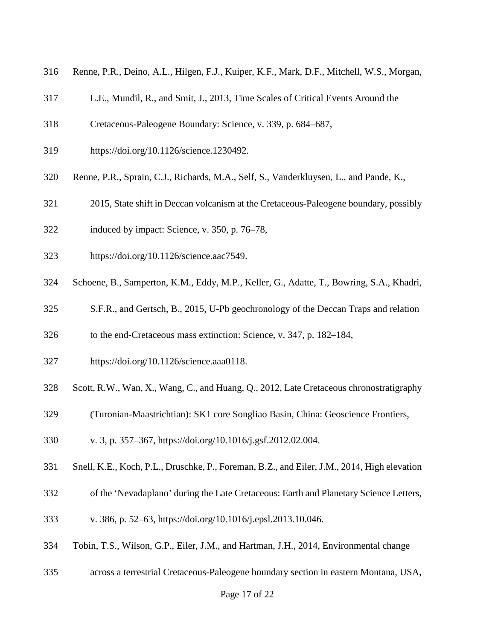- 316 Renne, P.R., Deino, A.L., Hilgen, F.J., Kuiper, K.F., Mark, D.F., Mitchell, W.S., Morgan,
- 317 L.E., Mundil, R., and Smit, J., 2013, Time Scales of Critical Events Around the
- 318 Cretaceous-Paleogene Boundary: Science, v. 339, p. 684–687,
- 319 https://doi.org/10.1126/science.1230492.
- 320 Renne, P.R., Sprain, C.J., Richards, M.A., Self, S., Vanderkluysen, L., and Pande, K.,
- 321 2015, State shift in Deccan volcanism at the Cretaceous-Paleogene boundary, possibly
- 322 induced by impact: Science, v. 350, p. 76–78,
- 323 https://doi.org/10.1126/science.aac7549.
- 324 Schoene, B., Samperton, K.M., Eddy, M.P., Keller, G., Adatte, T., Bowring, S.A., Khadri,
- 325 S.F.R., and Gertsch, B., 2015, U-Pb geochronology of the Deccan Traps and relation
- 326 to the end-Cretaceous mass extinction: Science, v. 347, p. 182–184,
- 327 https://doi.org/10.1126/science.aaa0118.
- 328 Scott, R.W., Wan, X., Wang, C., and Huang, Q., 2012, Late Cretaceous chronostratigraphy
- 329 (Turonian-Maastrichtian): SK1 core Songliao Basin, China: Geoscience Frontiers,
- 330 v. 3, p. 357–367, https://doi.org/10.1016/j.gsf.2012.02.004.
- 331 Snell, K.E., Koch, P.L., Druschke, P., Foreman, B.Z., and Eiler, J.M., 2014, High elevation
- 332 of the 'Nevadaplano' during the Late Cretaceous: Earth and Planetary Science Letters,
- 333 v. 386, p. 52–63, https://doi.org/10.1016/j.epsl.2013.10.046.
- 334 Tobin, T.S., Wilson, G.P., Eiler, J.M., and Hartman, J.H., 2014, Environmental change
- 335 across a terrestrial Cretaceous-Paleogene boundary section in eastern Montana, USA,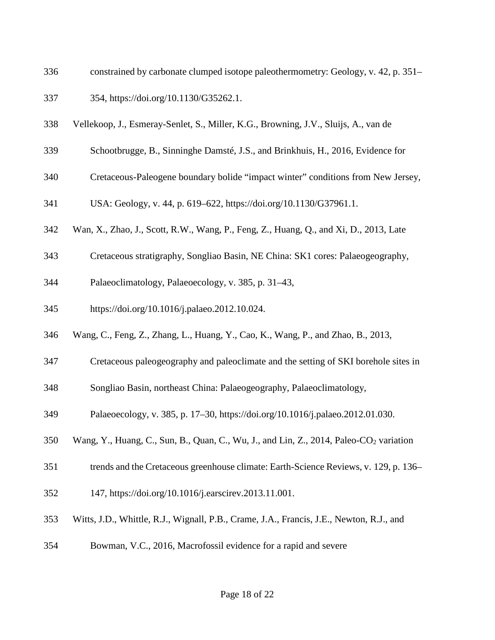- 336 constrained by carbonate clumped isotope paleothermometry: Geology, v. 42, p. 351–
- 337 354, https://doi.org/10.1130/G35262.1.
- 338 Vellekoop, J., Esmeray-Senlet, S., Miller, K.G., Browning, J.V., Sluijs, A., van de
- 339 Schootbrugge, B., Sinninghe Damsté, J.S., and Brinkhuis, H., 2016, Evidence for
- 340 Cretaceous-Paleogene boundary bolide "impact winter" conditions from New Jersey,
- 341 USA: Geology, v. 44, p. 619–622, https://doi.org/10.1130/G37961.1.
- 342 Wan, X., Zhao, J., Scott, R.W., Wang, P., Feng, Z., Huang, Q., and Xi, D., 2013, Late
- 343 Cretaceous stratigraphy, Songliao Basin, NE China: SK1 cores: Palaeogeography,
- 344 Palaeoclimatology, Palaeoecology, v. 385, p. 31–43,
- 345 https://doi.org/10.1016/j.palaeo.2012.10.024.
- 346 Wang, C., Feng, Z., Zhang, L., Huang, Y., Cao, K., Wang, P., and Zhao, B., 2013,
- 347 Cretaceous paleogeography and paleoclimate and the setting of SKI borehole sites in
- 348 Songliao Basin, northeast China: Palaeogeography, Palaeoclimatology,
- 349 Palaeoecology, v. 385, p. 17–30, https://doi.org/10.1016/j.palaeo.2012.01.030.
- 350 Wang, Y., Huang, C., Sun, B., Quan, C., Wu, J., and Lin, Z., 2014, Paleo-CO<sub>2</sub> variation
- 351 trends and the Cretaceous greenhouse climate: Earth-Science Reviews, v. 129, p. 136–
- 352 147, https://doi.org/10.1016/j.earscirev.2013.11.001.
- 353 Witts, J.D., Whittle, R.J., Wignall, P.B., Crame, J.A., Francis, J.E., Newton, R.J., and
- 354 Bowman, V.C., 2016, Macrofossil evidence for a rapid and severe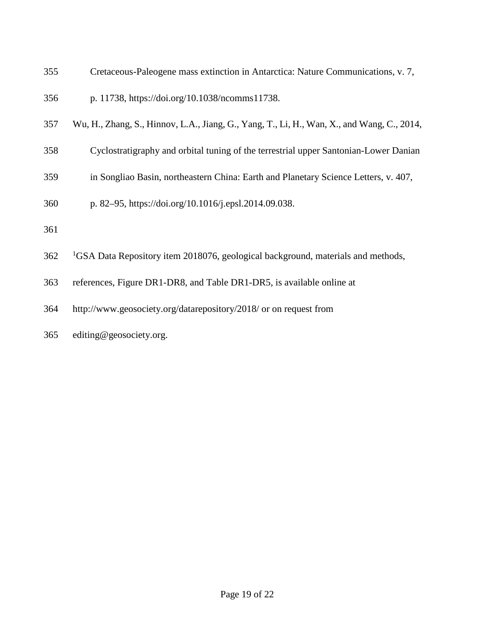- 355 Cretaceous-Paleogene mass extinction in Antarctica: Nature Communications, v. 7,
- 356 p. 11738, https://doi.org/10.1038/ncomms11738.
- 357 Wu, H., Zhang, S., Hinnov, L.A., Jiang, G., Yang, T., Li, H., Wan, X., and Wang, C., 2014,
- 358 Cyclostratigraphy and orbital tuning of the terrestrial upper Santonian-Lower Danian
- 359 in Songliao Basin, northeastern China: Earth and Planetary Science Letters, v. 407,
- 360 p. 82–95, https://doi.org/10.1016/j.epsl.2014.09.038.
- 361
- <sup>1</sup>GSA Data Repository item 2018076, geological background, materials and methods,
- 363 references, Figure DR1-DR8, and Table DR1-DR5, is available online at
- 364 http://www.geosociety.org/datarepository/2018/ or on request from
- 365 editing@geosociety.org.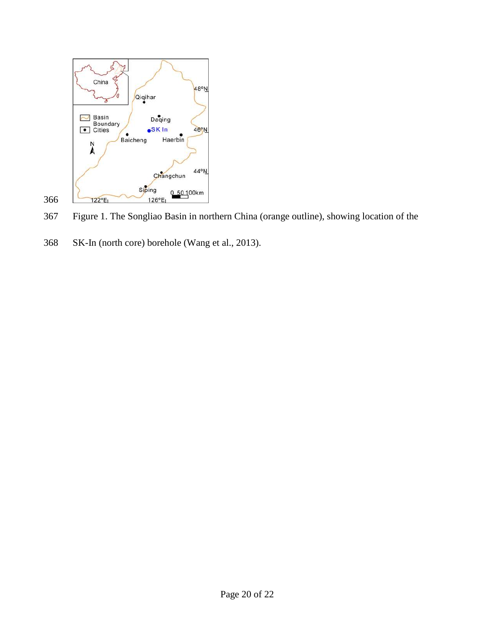

367 Figure 1. The Songliao Basin in northern China (orange outline), showing location of the

368 SK-In (north core) borehole (Wang et al., 2013).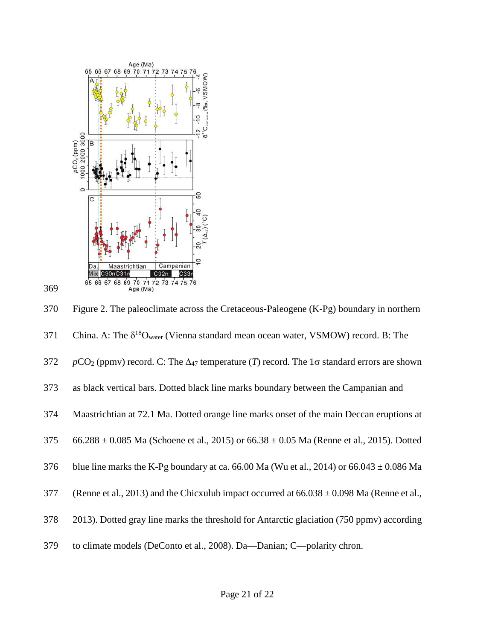



370 Figure 2. The paleoclimate across the Cretaceous-Paleogene (K-Pg) boundary in northern 371 China. A: The  $\delta^{18}O_{water}$  (Vienna standard mean ocean water, VSMOW) record. B: The 372 *p*CO<sub>2</sub> (ppmv) record. C: The  $\Delta_{47}$  temperature (*T*) record. The 1 $\sigma$  standard errors are shown 373 as black vertical bars. Dotted black line marks boundary between the Campanian and 374 Maastrichtian at 72.1 Ma. Dotted orange line marks onset of the main Deccan eruptions at 375 66.288  $\pm$  0.085 Ma (Schoene et al., 2015) or 66.38  $\pm$  0.05 Ma (Renne et al., 2015). Dotted 376 blue line marks the K-Pg boundary at ca. 66.00 Ma (Wu et al., 2014) or 66.043  $\pm$  0.086 Ma 377 (Renne et al., 2013) and the Chicxulub impact occurred at  $66.038 \pm 0.098$  Ma (Renne et al., 378 2013). Dotted gray line marks the threshold for Antarctic glaciation (750 ppmv) according 379 to climate models (DeConto et al., 2008). Da—Danian; C—polarity chron.